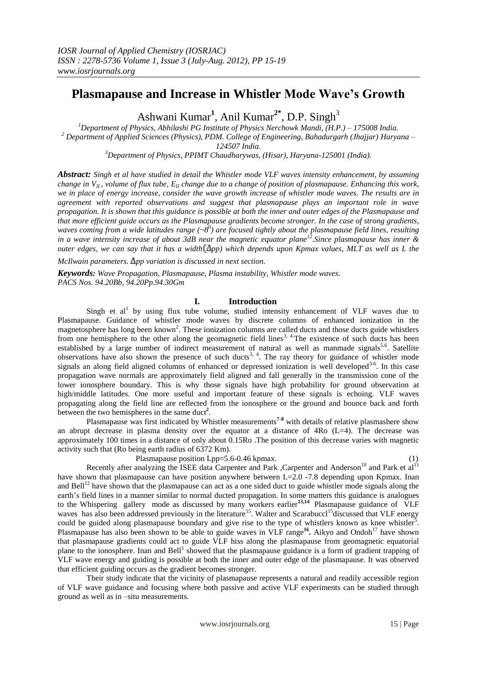# **Plasmapause and Increase in Whistler Mode Wave's Growth**

Ashwani Kumar<sup>1</sup>, Anil Kumar<sup>2\*</sup>, D.P. Singh<sup>3</sup>

*<sup>1</sup>Department of Physics, Abhilashi PG Institute of Physics Nerchowk Mandi, (H.P.) – 175008 India. <sup>2</sup> Department of Applied Sciences (Physics), PDM. College of Engineering, Bahadurgarh (Jhajjar) Haryana – 124507 India.*

*<sup>3</sup>Department of Physics, PPIMT Chaudharywas, (Hisar), Haryana-125001 (India).*

*Abstract: Singh et al have studied in detail the Whistler mode VLF waves intensity enhancement, by assuming change in V<sub>II</sub>*, *volume of flux tube,*  $E_{II}$  *change due to a change of position of plasmapause. Enhancing this work, we in place of energy increase, consider the wave growth increase of whistler mode waves. The results are in agreement with reported observations and suggest that plasmapause plays an important role in wave propagation. It is shown that this guidance is possible at both the inner and outer edges of the Plasmapause and that more efficient guide occurs as the Plasmapause gradients become stronger. In the case of strong gradients, waves coming from a wide latitudes range (~8<sup>0</sup> ) are focused tightly about the plasmapause field lines, resulting in a wave intensity increase of about 3dB near the magnetic equator plane<sup>12</sup>.Since plasmapause has inner & outer edges, we can say that it has a width*  $(\Delta pp)$  *which depends upon Kpmax values, MLT as well as L the* 

*McIlwain parameters.*  $\Delta$ *pp variation is discussed in next section.* 

*Keywords: Wave Propagation, Plasmapause, Plasma instability, Whistler mode waves. PACS Nos. 94.20Bb, 94.20Pp.94.30Gm*

## **I. Introduction**

Singh et  $al<sup>1</sup>$  by using flux tube volume, studied intensity enhancement of VLF waves due to Plasmapause. Guidance of whistler mode waves by discrete columns of enhanced ionization in the magnetosphere has long been known<sup>2</sup>. These ionization columns are called ducts and those ducts guide whistlers from one hemisphere to the other along the geomagnetic field lines<sup>3, 4</sup>. The existence of such ducts has been established by a large number of indirect measurement of natural as well as manmade signals<sup>5,6</sup>. Satellite observations have also shown the presence of such ducts<sup>3, 4</sup>. The ray theory for guidance of whistler mode signals an along field aligned columns of enhanced or depressed ionization is well developed<sup>3-6</sup>. In this case propagation wave normals are approximately field aligned and fall generally in the transmission cone of the lower ionosphere boundary. This is why those signals have high probability for ground observation at high/middle latitudes. One more useful and important feature of these signals is echoing. VLF waves propagating along the field line are reflected from the ionosphere or the ground and bounce back and forth between the two hemispheres in the same duct<sup>2</sup>.

Plasmapause was first indicated by Whistler measurements**7-8** with details of relative plasmashere show an abrupt decrease in plasma density over the equator at a distance of 4Ro (L=4). The decrease was approximately 100 times in a distance of only about 0.15Ro .The position of this decrease varies with magnetic activity such that (Ro being earth radius of 6372 Km).

Plasmapause position Lpp=5.6-0.46 kpmax. (1)

Recently after analyzing the ISEE data Carpenter and Park ,Carpenter and Anderson<sup>10</sup> and Park et al<sup>11</sup> have shown that plasmapause can have position anywhere between L=2.0 -7.8 depending upon Kpmax. Inan and Bell<sup>12</sup> have shown that the plasmapause can act as a one sided duct to guide whistler mode signals along the earth's field lines in a manner similar to normal ducted propagation. In some matters this guidance is analogues to the Whispering gallery mode as discussed by many workers earlier**13,14** Plasmapause guidance of VLF waves has also been addressed previously in the literature<sup>15</sup>. Walter and Scarabuccl<sup>15</sup>discussed that VLF energy could be guided along plasmapause boundary and give rise to the type of whistlers known as knee whistler<sup>5</sup>. Plasmapause has also been shown to be able to guide waves in VLF range<sup>16</sup>. Aikyo and Ondoh<sup>17</sup> have shown that plasmapause gradients could act to guide VLF hiss along the plasmapause from geomagnetic equatorial plane to the ionosphere. Inan and Bell<sup>1</sup> showed that the plasmapause guidance is a form of gradient trapping of VLF wave energy and guiding is possible at both the inner and outer edge of the plasmapause. It was observed that efficient guiding occurs as the gradient becomes stronger.

Their study indicate that the vicinity of plasmapause represents a natural and readily accessible region of VLF wave guidance and focusing where both passive and active VLF experiments can be studied through ground as well as in –situ measurements.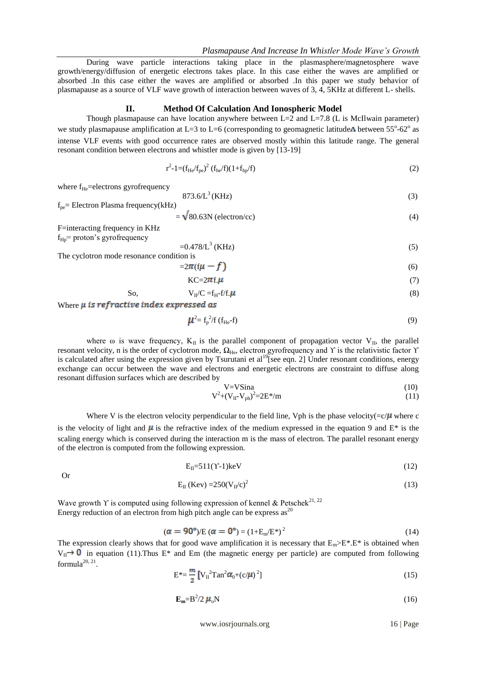During wave particle interactions taking place in the plasmasphere/magnetosphere wave growth/energy/diffusion of energetic electrons takes place. In this case either the waves are amplified or absorbed .In this case either the waves are amplified or absorbed .In this paper we study behavior of plasmapause as a source of VLF wave growth of interaction between waves of 3, 4, 5KHz at different L- shells.

### **II. Method Of Calculation And Ionospheric Model**

Though plasmapause can have location anywhere between  $L=2$  and  $L=7.8$  (L is McIlwain parameter) we study plasmapause amplification at L=3 to L=6 (corresponding to geomagnetic latitude $\Lambda$  between 55°-62° as intense VLF events with good occurrence rates are observed mostly within this latitude range. The general resonant condition between electrons and whistler mode is given by [13-19]

$$
r^{2} - 1 = (f_{He}/f_{pe})^{2} (f_{he}/f)(1 + f_{hp}/f)
$$
 (2)

where  $f_{He}$ =electrons gyrofrequency

$$
873.6/L^3 (KHz)
$$
 (3)

 $f_{pe}$  Electron Plasma frequency(kHz)

$$
= \sqrt{80.63} \text{N (electron/cc)} \tag{4}
$$

F=interacting frequency in KHz  $f_{\text{Hp}}$ = proton's gyrofrequency

$$
=0.478/L^{3} (KHz)
$$
 (5)

The cyclotron mode resonance condition is

$$
=2\pi(\mathbf{f}\boldsymbol{\mu}-\boldsymbol{f})\tag{6}
$$

$$
KC=2\pi f.\mu\tag{7}
$$

So, 
$$
V_{II}/C = f_{H} - f/f \cdot \mu
$$
 (8)

Where  $\mu$  is refractive index expressed as

$$
\mu^2 = f_p^2 / f \left( f_{\text{He}} - f \right) \tag{9}
$$

where  $\omega$  is wave frequency,  $K_{II}$  is the parallel component of propagation vector  $V_{II}$ , the parallel resonant velocity, n is the order of cyclotron mode,  $\Omega_{He}$ , electron gyrofrequency and Υ is the relativistic factor Y is calculated after using the expression given by Tsurutani et al<sup>19</sup>[see eqn. 2] Under resonant conditions, energy exchange can occur between the wave and electrons and energetic electrons are constraint to diffuse along resonant diffusion surfaces which are described by

$$
V = V \sin \alpha \tag{10}
$$

$$
V^2 + (V_{II} - V_{ph})^2 = 2E^* / m \tag{11}
$$

Where V is the electron velocity perpendicular to the field line, Vph is the phase velocity( $=c/\mu$  where c is the velocity of light and  $\mu$  is the refractive index of the medium expressed in the equation 9 and E\* is the scaling energy which is conserved during the interaction m is the mass of electron. The parallel resonant energy of the electron is computed from the following expression.

$$
E_{II} = 511(Y-1)keV
$$
 (12)

Or

$$
E_{II} (Kev) = 250 (V_{II}/c)^{2}
$$
 (13)

Wave growth Y is computed using following expression of kennel & Petschek<sup>21, 22</sup> Energy reduction of an electron from high pitch angle can be express as  $2^{20}$ 

$$
(\alpha = 90^{\circ})/E (\alpha = 0^{\circ}) = (1 + E_m/E^*)^2
$$
\n(14)

The expression clearly shows that for good wave amplification it is necessary that  $E_m>E^*E^*$  is obtained when  $V_{II} \rightarrow 0$  in equation (11).Thus E<sup>\*</sup> and Em (the magnetic energy per particle) are computed from following formula $^{20, 21}$ .

$$
E^* = \frac{m}{2} \left[ V_{II}^2 \text{Tan}^2 \alpha_0 + (c/\mu)^2 \right] \tag{15}
$$

$$
\mathbf{E}_{\mathbf{m}} = \mathbf{B}^2 / 2 \ \boldsymbol{\mu}_o \mathbf{N} \tag{16}
$$

www.iosrjournals.org 16 | Page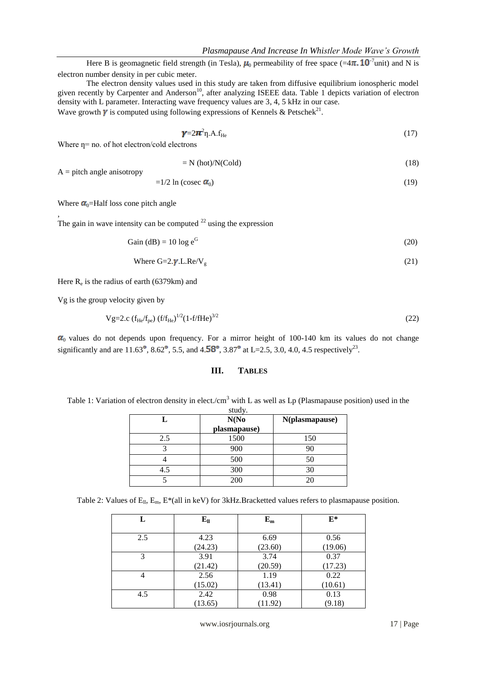Here B is geomagnetic field strength (in Tesla),  $\mu_0$  permeability of free space (=4 $\pi$ . 10<sup>-7</sup>unit) and N is electron number density in per cubic meter.

The electron density values used in this study are taken from diffusive equilibrium ionospheric model given recently by Carpenter and Anderson<sup>10</sup>, after analyzing ISEEE data. Table 1 depicts variation of electron density with L parameter. Interacting wave frequency values are 3, 4, 5 kHz in our case. Wave growth  $\gamma$  is computed using following expressions of Kennels & Petschek<sup>21</sup>.

$$
\gamma = 2\pi^2 \eta \cdot A \cdot f_{\text{He}} \tag{17}
$$

Where  $\eta$ = no. of hot electron/cold electrons

$$
= N \left( \text{hot} \right) / N \left( \text{Cold} \right) \tag{18}
$$

 $A =$  pitch angle anisotropy

,

$$
=1/2 \ln(\csc \alpha_0) \tag{19}
$$

Where  $\alpha_0$ =Half loss cone pitch angle

The gain in wave intensity can be computed  $22$  using the expression

$$
Gain (dB) = 10 \log e^{G}
$$
\n(20)

Where 
$$
G=2.\gamma
$$
.L.Re/V<sub>g</sub> (21)

Here  $R_e$  is the radius of earth (6379km) and

Vg is the group velocity given by

$$
Vg=2.c (f_{He}/f_{pe}) (f/f_{He})^{1/2} (1-f/fHe)^{3/2}
$$
\n(22)

 $\alpha_0$  values do not depends upon frequency. For a mirror height of 100-140 km its values do not change significantly and are 11.63<sup>°</sup>, 8.62<sup>°</sup>, 5.5, and 4.58<sup>°</sup>, 3.87<sup>°</sup> at L=2.5, 3.0, 4.0, 4.5 respectively<sup>23</sup>.

# **III. TABLES**

Table 1: Variation of electron density in elect./cm<sup>3</sup> with L as well as Lp (Plasmapause position) used in the study.

|     | N(No)<br>plasmapause) | N(plasmapause) |
|-----|-----------------------|----------------|
| 2.5 | 1500                  | 150            |
|     | 900                   | 90             |
|     | 500                   | 50             |
| 4.5 | 300                   | 30             |
|     | 200                   | 20             |

Table 2: Values of  $E_{II}$ ,  $E_{m}$ , E\*(all in keV) for 3kHz.Bracketted values refers to plasmapause position.

| L   | ${\bf E}_{\rm ll}$ | $E_m$   | $E^*$   |
|-----|--------------------|---------|---------|
| 2.5 | 4.23               | 6.69    | 0.56    |
|     | (24.23)            | (23.60) | (19.06) |
| 3   | 3.91               | 3.74    | 0.37    |
|     | (21.42)            | (20.59) | (17.23) |
| 4   | 2.56               | 1.19    | 0.22    |
|     | (15.02)            | (13.41) | (10.61) |
| 4.5 | 2.42               | 0.98    | 0.13    |
|     | (13.65)            | (11.92) | (9.18)  |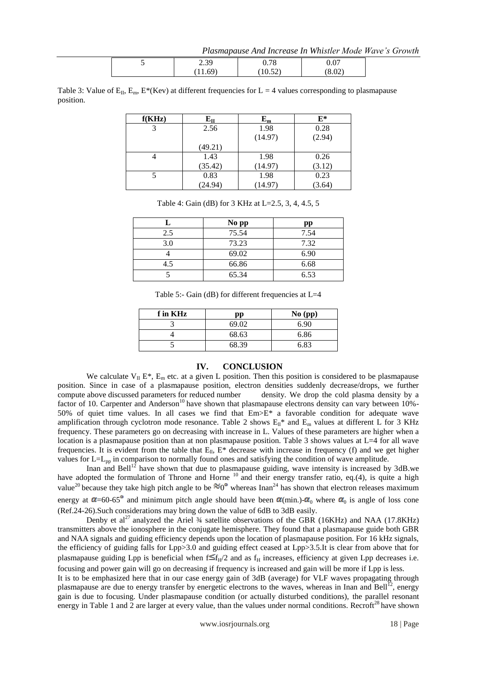*Plasmapause And Increase In Whistler Mode Wave's Growth*

|  | $30^{\circ}$<br>ر د ک | n 70<br>v. 70                  | $\sim$<br>J.U. |  |
|--|-----------------------|--------------------------------|----------------|--|
|  | 11.69                 | $\sim$ $\sim$ $\sim$<br>10.341 | (8.02)         |  |

Table 3: Value of  $E_{II}$ ,  $E_{m}$ ,  $E^{*}(Kev)$  at different frequencies for L = 4 values corresponding to plasmapause position.

| f(KHz) | ${\bf E}_{\bf II}$ | ${\bf E_m}$ | $E^*$  |
|--------|--------------------|-------------|--------|
|        | 2.56               | 1.98        | 0.28   |
|        |                    | (14.97)     | (2.94) |
|        | (49.21)            |             |        |
|        | 1.43               | 1.98        | 0.26   |
|        | (35.42)            | (14.97)     | (3.12) |
|        | 0.83               | 1.98        | 0.23   |
|        | (24.94)            | (14.97)     | (3.64) |

|     | No pp | pp   |
|-----|-------|------|
| 2.5 | 75.54 | 7.54 |
| 3.0 | 73.23 | 7.32 |
|     | 69.02 | 6.90 |
| 4.5 | 66.86 | 6.68 |
|     | 65.34 | 6.53 |

Table 4: Gain (dB) for 3 KHz at L=2.5, 3, 4, 4.5, 5

Table 5:- Gain (dB) for different frequencies at L=4

| f in KHz | pp    | $No$ (pp) |
|----------|-------|-----------|
|          | 69.02 | 6.90      |
|          | 68.63 | 6.86      |
|          | 68.39 | 6.83      |

#### **IV. CONCLUSION**

We calculate  $V_{II} E^*$ ,  $E_m$  etc. at a given L position. Then this position is considered to be plasmapause position. Since in case of a plasmapause position, electron densities suddenly decrease/drops, we further compute above discussed parameters for reduced number density. We drop the cold plasma density by a factor of 10. Carpenter and Anderson<sup>10</sup> have shown that plasmapause electrons density can vary between  $10\%$ -50% of quiet time values. In all cases we find that Em>E\* a favorable condition for adequate wave amplification through cyclotron mode resonance. Table 2 shows  $E_{ll}$ <sup>\*</sup> and  $E_m$  values at different L for 3 KHz frequency. These parameters go on decreasing with increase in L. Values of these parameters are higher when a location is a plasmapause position than at non plasmapause position. Table 3 shows values at L=4 for all wave frequencies. It is evident from the table that  $E_{ll}$ ,  $E^*$  decrease with increase in frequency (f) and we get higher values for L=L<sub>pp</sub> in comparison to normally found ones and satisfying the condition of wave amplitude.

Inan and Bell<sup>12</sup> have shown that due to plasmapause guiding, wave intensity is increased by 3dB.we have adopted the formulation of Throne and Horne  $10$  and their energy transfer ratio, eq.(4), is quite a high value<sup>20</sup> because they take high pitch angle to be  $\%0^{\circ}$  whereas Inan<sup>24</sup> has shown that electron releases maximum energy at  $\alpha$ =60-65<sup>°</sup> and minimum pitch angle should have been  $\alpha$ (min.)- $\alpha$ <sub>0</sub> where  $\alpha$ <sub>0</sub> is angle of loss cone (Ref.24-26).Such considerations may bring down the value of 6dB to 3dB easily.

Denby et al<sup>27</sup> analyzed the Ariel  $\frac{3}{4}$  satellite observations of the GBR (16KHz) and NAA (17.8KHz) transmitters above the ionosphere in the conjugate hemisphere. They found that a plasmapause guide both GBR and NAA signals and guiding efficiency depends upon the location of plasmapause position. For 16 kHz signals, the efficiency of guiding falls for Lpp>3.0 and guiding effect ceased at Lpp>3.5.It is clear from above that for plasmapause guiding Lpp is beneficial when  $f \leq f_H/2$  and as  $f_H$  increases, efficiency at given Lpp decreases i.e. focusing and power gain will go on decreasing if frequency is increased and gain will be more if Lpp is less.

It is to be emphasized here that in our case energy gain of 3dB (average) for VLF waves propagating through plasmapause are due to energy transfer by energetic electrons to the waves, whereas in Inan and Bell<sup>12</sup>, energy gain is due to focusing. Under plasmapause condition (or actually disturbed conditions), the parallel resonant energy in Table 1 and 2 are larger at every value, than the values under normal conditions. Recroft<sup>28</sup> have shown